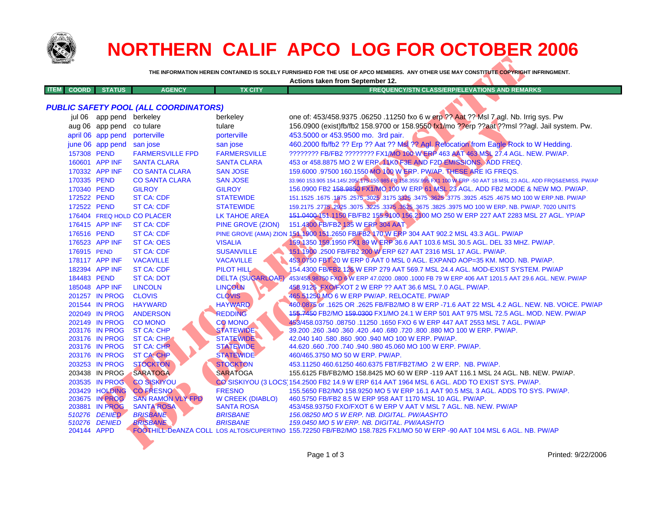

|                             |                                             |                                              |                          | Actions taken from September 12.                                                                                                                                      |
|-----------------------------|---------------------------------------------|----------------------------------------------|--------------------------|-----------------------------------------------------------------------------------------------------------------------------------------------------------------------|
| <b>ITEM</b><br><b>COORD</b> | <b>STATUS</b>                               | <b>AGENCY</b>                                | <b>TX CITY</b>           | FREQUENCY/STN CLASS/ERP/ELEVATIONS AND REMARKS                                                                                                                        |
|                             |                                             | <b>PUBLIC SAFETY POOL (ALL COORDINATORS)</b> |                          |                                                                                                                                                                       |
|                             |                                             |                                              |                          | one of: 453/458.9375 .06250 .11250 fxo 6 w erp ?? Aat ?? MsI 7 agl. Nb. Irrig sys. Pw                                                                                 |
|                             | jul 06 app pend berkeley<br>aug 06 app pend | co tulare                                    | berkeley<br>tulare       | 156.0900 (exist)fb/fb2 158.9700 or 158.9550 (x1/mo ??erp ??aat ??msl ??agl. Jail system. Pw.                                                                          |
|                             |                                             | porterville                                  |                          | 453.5000 or 453.9500 mo. 3rd pair.                                                                                                                                    |
|                             | april 06 app pend                           |                                              | porterville              |                                                                                                                                                                       |
|                             | june 06 app pend                            | san jose                                     | san jose                 | 460.2000 fb/fb2 ?? Erp ?? Aat ?? Ms. ?? Agl. Refocation from Eagle Rock to W Hedding.                                                                                 |
| 157308 PEND                 |                                             | <b>FARMERSVILLE FPD</b>                      | <b>FARMERSVILLE</b>      | 22222222 FB/FB2 22222222 FX1/MO 100 WERP 463 AAT 463 MSL 27.4 AGL. NEW. PW/AP.                                                                                        |
|                             | 160601 APP INF                              | <b>SANTA CLARA</b>                           | <b>SANTA CLARA</b>       | 453 or 458.8875 MO 2 W ERP. 1 KO F3E AND F2D EMISSIONS. ADD FREQ.                                                                                                     |
|                             | 170332 APP INF                              | <b>CO SANTA CLARA</b>                        | <b>SAN JOSE</b>          | 159.6000 .97500 160.1550 MO 100 W ERP. PW/AP. THESE ARE IG FREQS.                                                                                                     |
| 170335 PEND                 |                                             | <b>CO SANTA CLARA</b>                        | <b>SAN JOSE</b>          | 33.960 153.905 154.145/ 2054 175 155.985 FP 158.355/ 945 FX1 100 WERP -50 AAT 18 MSL 23 AGL. ADD FRQS&EMISS. PW/AP                                                    |
| 170340 PEND                 |                                             | <b>GILROY</b>                                | <b>GILROY</b>            | 156.0900 FB2 158.9850 FX1/MO 100 W ERP 61 MSL 23 AGL. ADD FB2 MODE & NEW MO. PW/AP.                                                                                   |
| 172522 PEND                 |                                             | <b>ST CA: CDF</b>                            | <b>STATEWIDE</b>         | 151.1525 .1675 .1975 .2575 .3025 .3175 3325 .3475 .3625 .3775 .3925 .4525 .4675 MO 100 W ERP.NB. PW/AP                                                                |
| 172522 PEND                 |                                             | <b>ST CA: CDF</b>                            | <b>STATEWIDE</b>         | 159.2175 .2775 .2825 .3075 .3225 .3375 .3525 .3675 .3825 .3975 MO 100 W ERP. NB. PW/AP. 7020 UNITS                                                                    |
|                             |                                             | 176404 FREQ HOLD CO PLACER                   | LK TAHOE AREA            | 151.04004 51.1150 FB/FB2 155.9100 156.2100 MO 250 W ERP 227 AAT 2283 MSL 27 AGL. YP/AP                                                                                |
|                             | 176415 APP INF                              | <b>ST CA: CDF</b>                            | PINE GROVE (ZION)        | 151.4300 FB/FB2 135 W ERP 304 AAT                                                                                                                                     |
| 176516 PEND                 |                                             | <b>ST CA: CDF</b>                            |                          | PINE GROVE (AMA) ZION 151 1900 151.2650 FB/FB2 170 W ERP 304 AAT 902.2 MSL 43.3 AGL. PW/AP                                                                            |
|                             | 176523 APP INF                              | <b>ST CA: OES</b>                            | <b>VISALIA</b>           | 59-1350 159.1950 PX1 89 W ERP 36.6 AAT 103.6 MSL 30.5 AGL. DEL 33 MHZ. PW/AP.                                                                                         |
| 176915 PEND                 |                                             | <b>ST CA: CDF</b>                            | <b>SUSANVILLE</b>        | 51.1900.2500 FB/FB2 200 W ERP 627 AAT 2316 MSL 17 AGL. PW/AP.                                                                                                         |
|                             | 178117 APP INF                              | <b>VACAVILLE</b>                             | <b>VACAVILLE</b>         | 453.0750 FBT 20 W ERP 0 AAT 0 MSL 0 AGL. EXPAND AOP=35 KM. MOD. NB. PW/AP.                                                                                            |
|                             | 182394 APP INF                              | <b>ST CA: CDF</b>                            | PILOT HILL               | 154.4300 FB/FB2 126 W ERP 279 AAT 569.7 MSL 24.4 AGL. MOD-EXIST SYSTEM. PW/AP                                                                                         |
| 184483 PEND                 |                                             | <b>ST CA: DOT</b>                            | <b>DELTA (SUGARLOAF)</b> | 453/458 98750 FXO & W ERP 47.0200 .0800 .1000 FB 79 W ERP 406 AAT 1201.5 AAT 29.6 AGL. NEW. PW/AP                                                                     |
|                             | 185048 APP INF                              | <b>LINCOLN</b>                               | LINCOLN                  | 458.9125 FXO/FXOT 2 W ERP ?? AAT 36.6 MSL 7.0 AGL. PW/AP.                                                                                                             |
|                             | 201257 IN PROG                              | <b>CLOVIS</b>                                | <b>CLOVIS</b>            | 465.51250 MO 6 W ERP PW/AP. RELOCATE. PW/AP                                                                                                                           |
|                             | 201544 IN PROG                              | <b>HAYWARD</b>                               | <b>HAYWARD</b>           | 460.0875 or .1625 OR .2625 FB/FB2/MO 8 W ERP -71.6 AAT 22 MSL 4.2 AGL. NEW. NB. VOICE. PW/AP                                                                          |
|                             | 202049 IN PROG                              | <b>ANDERSON</b>                              | <b>REDDING</b>           | 155.7450 FB2/MO 159.0300 FX1/MO 24.1 W ERP 501 AAT 975 MSL 72.5 AGL. MOD. NEW. PW/AP                                                                                  |
|                             | 202149 IN PROG                              | <b>CO MONO</b>                               | <b>CO</b> MONO           | 453/458.03750.08750.11250.1650 FXO 6 W ERP 447 AAT 2553 MSL 7 AGL. PW/AP                                                                                              |
|                             | 203176 IN PROG                              | <b>ST CA: CHP</b>                            | <b>STATEWIDE</b>         | 39.200 .260 .340 .360 .420 .440 .680 .720 .800 .880 MO 100 W ERP. PW/AP.                                                                                              |
|                             | 203176 IN PROG                              | ST CA: CHP                                   | <b>STATEWIDE</b>         | 42.040 140 .580 .860 .900 .940 MO 100 W ERP. PW/AP.                                                                                                                   |
|                             | 203176 IN PROG                              | <b>ST CA: CHR</b>                            | <b>STATEWIDE</b>         | 44.620 .660 .700 .740 .940 .980 45.060 MO 100 W ERP. PW/AP.                                                                                                           |
|                             | 203176 IN PROG                              | <b>ST CA: CHP</b>                            | <b>STATEWIDE</b>         | 460/465.3750 MO 50 W ERP. PW/AP.                                                                                                                                      |
|                             | 203253 IN PROG                              | <b>STOCKTON</b>                              | <b>STOCKTON</b>          | 453.11250 460.61250 460.6375 FBT/FB2T/MO 2 W ERP. NB. PW/AP.                                                                                                          |
|                             | 203438 IN PROG                              | SARATOGA                                     | <b>SARATOGA</b>          | 155.6125 FB/FB2/MO 158.8425 MO 60 W ERP -119 AAT 116.1 MSL 24 AGL. NB. NEW. PW/AP.                                                                                    |
|                             | 203535 IN PROG                              | <b>CO SISKIYOU</b>                           |                          | CO SISKIYOU (3 LOCS) 154.2500 FB2 14.9 W ERP 614 AAT 1964 MSL 6 AGL. ADD TO EXIST SYS. PW/AP.                                                                         |
|                             | <b>203429 HOLDING</b>                       | <b>CO FRESNO</b>                             | <b>FRESNO</b>            | 155.5650 FB2/MO 158.9250 MO 5 W ERP 16.1 AAT 90.5 MSL 3 AGL. ADDS TO SYS. PW/AP.                                                                                      |
|                             | 203675 IN PROG                              | <b>SAN RAMON VLY FPD</b>                     | <b>W CREEK (DIABLO)</b>  | 460.5750 FB/FB2 8.5 W ERP 958 AAT 1170 MSL 10 AGL. PW/AP.                                                                                                             |
|                             | 203881 IN PROG                              | <b>SANTA ROSA</b>                            | <b>SANTA ROSA</b>        | 453/458.93750 FXO/FXOT 6 W ERP V AAT V MSL 7 AGL. NB. NEW. PW/AP                                                                                                      |
|                             | 510276 DENIED                               | <b>BRISBANE</b>                              | <b>BRISBANE</b>          | 156.08250 MO 5 W ERP. NB. DIGITAL. PW/AASHTO                                                                                                                          |
| 510276                      | <b>DENIED</b><br>204144 APPD                | <b>BRISBANE</b>                              | <b>BRISBANE</b>          | 159.0450 MO 5 W ERP. NB. DIGITAL. PW/AASHTO<br>FOOTHILL-DeANZA COLL LOS ALTOS/CUPERTINO 155.72250 FB/FB2/MO 158.7825 FX1/MO 50 W ERP -90 AAT 104 MSL 6 AGL. NB. PW/AP |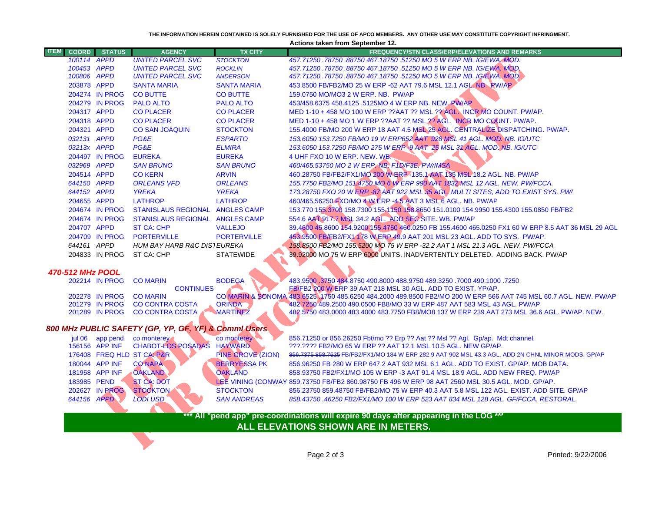| THE INFORMATION HEREIN CONTAINED IS SOLELY FURNISHED FOR THE USE OF APCO MEMBERS.  ANY OTHER USE MAY CONSTITUTE COPYRIGHT INFRINGMENT.<br><b>Actions taken from September 12.</b> |                                  |                                                       |                          |                                                                                                                                                                                              |  |  |  |  |  |  |
|-----------------------------------------------------------------------------------------------------------------------------------------------------------------------------------|----------------------------------|-------------------------------------------------------|--------------------------|----------------------------------------------------------------------------------------------------------------------------------------------------------------------------------------------|--|--|--|--|--|--|
| <b>ITEM</b><br><b>COORD</b>                                                                                                                                                       | <b>STATUS</b>                    | <b>AGENCY</b>                                         | <b>TX CITY</b>           | <b>FREQUENCY/STN CLASS/ERP/ELEVATIONS AND REMARKS</b>                                                                                                                                        |  |  |  |  |  |  |
|                                                                                                                                                                                   | 100114 APPD                      | <b>UNITED PARCEL SVC</b>                              | <b>STOCKTON</b>          | 457.71250.78750.88750 467.18750.51250 MO 5 W ERP NB. IG/EWA.MOD.                                                                                                                             |  |  |  |  |  |  |
|                                                                                                                                                                                   | 100453 APPD                      | <b>UNITED PARCEL SVC</b>                              | <b>ROCKLIN</b>           | 457.71250.78750.88750 467.18750.51250 MO 5 W ERP NB. IG/EWA. MOD.                                                                                                                            |  |  |  |  |  |  |
|                                                                                                                                                                                   | 100806 APPD                      | <b>UNITED PARCEL SVC</b>                              | <b>ANDERSON</b>          | 457.71250.78750.88750 467.18750.51250 MO 5 W ERP NB. IG/EWA, MOD.                                                                                                                            |  |  |  |  |  |  |
|                                                                                                                                                                                   | 203878 APPD                      | <b>SANTA MARIA</b>                                    | <b>SANTA MARIA</b>       | 453.8500 FB/FB2/MO 25 W ERP -62 AAT 79.6 MSL 12.1 AGL NB. RW/AP                                                                                                                              |  |  |  |  |  |  |
|                                                                                                                                                                                   | 204274 IN PROG                   | <b>CO BUTTE</b>                                       | <b>CO BUTTE</b>          | 159.0750 MO/MO3 2 W ERP. NB. PW/AP                                                                                                                                                           |  |  |  |  |  |  |
|                                                                                                                                                                                   | 204279 IN PROG                   | <b>PALO ALTO</b>                                      | <b>PALO ALTO</b>         | 453/458.6375 458.4125 .5125MO 4 W ERP NB. NEW PWAP                                                                                                                                           |  |  |  |  |  |  |
|                                                                                                                                                                                   | 204317 APPD                      | <b>CO PLACER</b>                                      | <b>CO PLACER</b>         | MED 1-10 + 458 MO 100 W ERP ??AAT ?? MSL ?? AGL INCR MO COUNT. PW/AP.                                                                                                                        |  |  |  |  |  |  |
|                                                                                                                                                                                   | 204318 APPD                      | <b>CO PLACER</b>                                      | <b>CO PLACER</b>         | MED 1-10 + 458 MO 1 W ERP ??AAT ?? MSL ?? AGL. INCR MO COUNT. PW/AP.                                                                                                                         |  |  |  |  |  |  |
|                                                                                                                                                                                   | 204321 APPD                      | <b>CO SAN JOAQUIN</b>                                 | <b>STOCKTON</b>          | 155.4000 FB/MO 200 W ERP 18 AAT 4.5 MSL 25 AGL. CENTRALIZE DISPATCHING. PW/AP.                                                                                                               |  |  |  |  |  |  |
|                                                                                                                                                                                   | 032131 APPD                      | PG&E                                                  | <b>ESPARTO</b>           | 153.6050 153.7250 FB/MO 19 W ERP652 AAT 928 MSL 41 AGL. MOD. NB. IG/UTC                                                                                                                      |  |  |  |  |  |  |
|                                                                                                                                                                                   | 03213x APPD                      | PG&E                                                  | <b>ELMIRA</b>            | 153.6050 153.7250 FB/MO 275 W ERP 9 AAT 25 MSL 31 AGL. MOD, MB. IG/UTC                                                                                                                       |  |  |  |  |  |  |
|                                                                                                                                                                                   | 204497 IN PROG                   | <b>EUREKA</b>                                         | <b>EUREKA</b>            | 4 UHF FXO 10 W ERP. NEW. WB.                                                                                                                                                                 |  |  |  |  |  |  |
|                                                                                                                                                                                   | 032969 APPD                      | <b>SAN BRUNO</b>                                      | <b>SAN BRUNO</b>         | 460/465.53750 MO 2 W ERPANE, F1D/F3E, PW/IMSA                                                                                                                                                |  |  |  |  |  |  |
|                                                                                                                                                                                   | 204514 APPD                      | <b>CO KERN</b>                                        | <b>ARVIN</b>             | 460.28750 FB/FB2/FX1/MO 200 W FRP - 135.1 AAT 135 MSL 18.2 AGL. NB. PW/AP                                                                                                                    |  |  |  |  |  |  |
|                                                                                                                                                                                   | 644150 APPD                      | <b>ORLEANS VFD</b>                                    | <b>ORLEANS</b>           | 155.7750 FB2/MO 151.4750 MO 6 W ERP 990 AAT 1832 MSL 12 AGL. NEW. PW/FCCA.                                                                                                                   |  |  |  |  |  |  |
|                                                                                                                                                                                   | 644152 APPD                      | <b>YREKA</b>                                          | <b>YREKA</b>             | 173.28750 FXO 20 W ERP -87 AAT 922 MSL 35 AGL, MULTI SITES, ADD TO EXIST SYS. PW/                                                                                                            |  |  |  |  |  |  |
|                                                                                                                                                                                   | 204655 APPD                      | <b>LATHROP</b>                                        | <b>LATHROP</b>           | 460/465.56250 FXO/MO 4 W ERP -4.5 AAT 3 MSL 6 AGL. NB. PW/AP                                                                                                                                 |  |  |  |  |  |  |
|                                                                                                                                                                                   | 204674 IN PROG                   | STANISLAUS REGIONAL ANGLES CAMP                       |                          | 153.770 155.3700 158.7300 155.1150 158.8650 151.0100 154.9950 155.4300 155.0850 FB/FB2                                                                                                       |  |  |  |  |  |  |
|                                                                                                                                                                                   | 204674 IN PROG                   | STANISLAUS REGIONAL ANGLES CAMP                       |                          | 554.6 AAT 917.7 MSL 34.2 ACL. ADD SEC SITE. WB. PW/AP                                                                                                                                        |  |  |  |  |  |  |
|                                                                                                                                                                                   | 204707 APPD                      | <b>ST CA: CHP</b>                                     | <b>VALLEJO</b>           | 39.4600 45.8600 154.9200 155.4750 460.0250 FB 155.4600 465.0250 FX1 60 W ERP 8.5 AAT 36 MSL 29 AGL                                                                                           |  |  |  |  |  |  |
|                                                                                                                                                                                   | 204709 IN PROG                   | <b>PORTERVILLE</b>                                    | <b>PORTERVILLE</b>       | 453 9500 FB/5B2/FX1 178 W ERP 49.9 AAT 201 MSL 23 AGL. ADD TO SYS. PW/AP.                                                                                                                    |  |  |  |  |  |  |
|                                                                                                                                                                                   | 644161 APPD                      | HUM BAY HARB R&C DIS1 EUREKA                          |                          | 158,8500 FB2/MO 155.5200 MO 75 W ERP -32.2 AAT 1 MSL 21.3 AGL. NEW. PW/FCCA                                                                                                                  |  |  |  |  |  |  |
|                                                                                                                                                                                   | 204833 IN PROG                   | ST CA: CHP                                            | <b>STATEWIDE</b>         | 39.92000 MO 75 W ERP 6000 UNITS. INADVERTENTLY DELETED. ADDING BACK. PW/AP                                                                                                                   |  |  |  |  |  |  |
|                                                                                                                                                                                   |                                  |                                                       |                          |                                                                                                                                                                                              |  |  |  |  |  |  |
| 470-512 MHz POOL                                                                                                                                                                  |                                  |                                                       |                          |                                                                                                                                                                                              |  |  |  |  |  |  |
|                                                                                                                                                                                   | 202214 IN PROG                   | <b>CO MARIN</b>                                       | <b>BODEGA</b>            | 483.9500 .3750 484.8750 490.8000 488.9750 489.3250 .7000 490.1000 .7250                                                                                                                      |  |  |  |  |  |  |
|                                                                                                                                                                                   |                                  | <b>CONTINUES</b>                                      |                          | FB/FB2 200 W ERP 39 AAT 218 MSL 30 AGL. ADD TO EXIST. YP/AP.                                                                                                                                 |  |  |  |  |  |  |
|                                                                                                                                                                                   | 202278 IN PROG<br>201279 IN PROG | <b>CO MARIN</b><br><b>CO CONTRA COSTA</b>             | <b>ORINDA</b>            | CO MARIN & SONOMA 483.6525 4750 485.6250 484.2000 489.8500 FB2/MO 200 W ERP 566 AAT 745 MSL 60.7 AGL. NEW. PW/AP<br>482.7250 489.2500 490.0500 FB8/MO 33 W ERP 487 AAT 583 MSL 43 AGL. PW/AP |  |  |  |  |  |  |
|                                                                                                                                                                                   | 201289 IN PROG                   | <b>CO CONTRA COSTA</b>                                | MARTINEZ                 | 482.5750 483.0000 483.4000 483.7750 FB8/MO8 137 W ERP 239 AAT 273 MSL 36.6 AGL. PW/AP. NEW.                                                                                                  |  |  |  |  |  |  |
|                                                                                                                                                                                   |                                  |                                                       |                          |                                                                                                                                                                                              |  |  |  |  |  |  |
|                                                                                                                                                                                   |                                  | 800 MHz PUBLIC SAFETY (GP, YP, GF, YF) & Comml Users. |                          |                                                                                                                                                                                              |  |  |  |  |  |  |
|                                                                                                                                                                                   | jul 06 app pend                  | co monterey                                           | co monterey              | 856.71250 or 856.26250 Fbt/mo ?? Erp ?? Aat ?? Msl ?? Agl. Gp/ap. Mdt channel.                                                                                                               |  |  |  |  |  |  |
|                                                                                                                                                                                   | 156156 APP INF                   | CHABOT-LOS POSADAS                                    | <b>HAYWARD</b>           | ???.???? FB2/MO 65 W ERP ?? AAT 12.1 MSL 10.5 AGL. NEW GP/AP.                                                                                                                                |  |  |  |  |  |  |
|                                                                                                                                                                                   |                                  | 176408 FREQ HLD ST CA. P&R                            | <b>PINE GROVE (ZION)</b> | 856.7375 858.7625 FB/FB2/FX1/MO 184 W ERP 282.9 AAT 902 MSL 43.3 AGL. ADD 2N CHNL MINOR MODS. GP/AP                                                                                          |  |  |  |  |  |  |
|                                                                                                                                                                                   | 180044 APP INF                   | <b>CO NAPA</b>                                        | <b>BERRYESSA PK</b>      | 856.96250 FB 280 W ERP 647.2 AAT 932 MSL 6.1 AGL. ADD TO EXIST. GP/AP. MOB DATA.                                                                                                             |  |  |  |  |  |  |
|                                                                                                                                                                                   | 181958 APP INF                   | <b>OAKLAND</b>                                        | <b>OAKLAND</b>           | 858.93750 FB2/FX1/MO 105 W ERP -3 AAT 91.4 MSL 18.9 AGL. ADD NEW FREQ. PW/AP                                                                                                                 |  |  |  |  |  |  |
|                                                                                                                                                                                   | 183985 PEND                      | <b>ST CA: DOT</b>                                     |                          | LEE VINING (CONWAY 859.73750 FB/FB2 860.98750 FB 496 W ERP 98 AAT 2560 MSL 30.5 AGL. MOD. GP/AP.                                                                                             |  |  |  |  |  |  |
|                                                                                                                                                                                   | 202627 IN PROG                   | <b>STOCKTON</b>                                       | <b>STOCKTON</b>          | 856.23750 859.48750 FB/FB2/MO 75 W ERP 40.3 AAT 5.8 MSL 122 AGL. EXIST. ADD SITE. GP/AP                                                                                                      |  |  |  |  |  |  |
|                                                                                                                                                                                   | 644156 APPD                      | LODI USD                                              | <b>SAN ANDREAS</b>       | 858.43750 .46250 FB2/FX1/MO 100 W ERP 523 AAT 834 MSL 128 AGL. GF/FCCA. RESTORAL.                                                                                                            |  |  |  |  |  |  |
|                                                                                                                                                                                   |                                  |                                                       |                          |                                                                                                                                                                                              |  |  |  |  |  |  |
|                                                                                                                                                                                   |                                  |                                                       |                          | *** All "pend app" pre-coordinations will expire 90 days after appearing in the LOG ***                                                                                                      |  |  |  |  |  |  |
|                                                                                                                                                                                   |                                  |                                                       |                          | ALL ELEVATIONS SHOWN ARE IN METERS.                                                                                                                                                          |  |  |  |  |  |  |
|                                                                                                                                                                                   |                                  |                                                       |                          |                                                                                                                                                                                              |  |  |  |  |  |  |
|                                                                                                                                                                                   |                                  |                                                       |                          |                                                                                                                                                                                              |  |  |  |  |  |  |